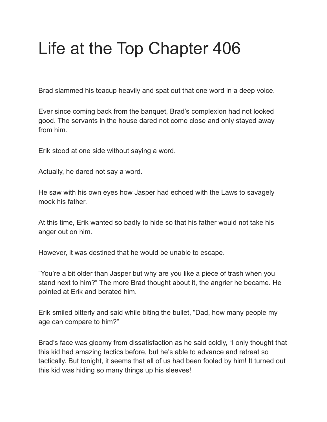## Life at the Top Chapter 406

Brad slammed his teacup heavily and spat out that one word in a deep voice.

Ever since coming back from the banquet, Brad's complexion had not looked good. The servants in the house dared not come close and only stayed away from him.

Erik stood at one side without saying a word.

Actually, he dared not say a word.

He saw with his own eyes how Jasper had echoed with the Laws to savagely mock his father.

At this time, Erik wanted so badly to hide so that his father would not take his anger out on him.

However, it was destined that he would be unable to escape.

"You're a bit older than Jasper but why are you like a piece of trash when you stand next to him?" The more Brad thought about it, the angrier he became. He pointed at Erik and berated him.

Erik smiled bitterly and said while biting the bullet, "Dad, how many people my age can compare to him?"

Brad's face was gloomy from dissatisfaction as he said coldly, "I only thought that this kid had amazing tactics before, but he's able to advance and retreat so tactically. But tonight, it seems that all of us had been fooled by him! It turned out this kid was hiding so many things up his sleeves!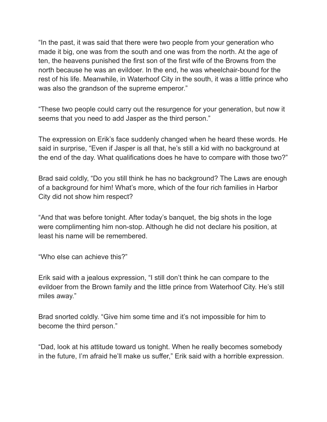"In the past, it was said that there were two people from your generation who made it big, one was from the south and one was from the north. At the age of ten, the heavens punished the first son of the first wife of the Browns from the north because he was an evildoer. In the end, he was wheelchair-bound for the rest of his life. Meanwhile, in Waterhoof City in the south, it was a little prince who was also the grandson of the supreme emperor."

"These two people could carry out the resurgence for your generation, but now it seems that you need to add Jasper as the third person."

The expression on Erik's face suddenly changed when he heard these words. He said in surprise, "Even if Jasper is all that, he's still a kid with no background at the end of the day. What qualifications does he have to compare with those two?"

Brad said coldly, "Do you still think he has no background? The Laws are enough of a background for him! What's more, which of the four rich families in Harbor City did not show him respect?

"And that was before tonight. After today's banquet, the big shots in the loge were complimenting him non-stop. Although he did not declare his position, at least his name will be remembered.

"Who else can achieve this?"

Erik said with a jealous expression, "I still don't think he can compare to the evildoer from the Brown family and the little prince from Waterhoof City. He's still miles away."

Brad snorted coldly. "Give him some time and it's not impossible for him to become the third person."

"Dad, look at his attitude toward us tonight. When he really becomes somebody in the future, I'm afraid he'll make us suffer," Erik said with a horrible expression.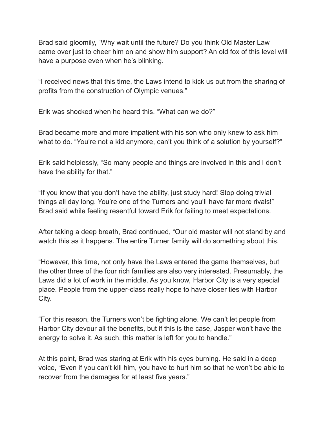Brad said gloomily, "Why wait until the future? Do you think Old Master Law came over just to cheer him on and show him support? An old fox of this level will have a purpose even when he's blinking.

"I received news that this time, the Laws intend to kick us out from the sharing of profits from the construction of Olympic venues."

Erik was shocked when he heard this. "What can we do?"

Brad became more and more impatient with his son who only knew to ask him what to do. "You're not a kid anymore, can't you think of a solution by yourself?"

Erik said helplessly, "So many people and things are involved in this and I don't have the ability for that."

"If you know that you don't have the ability, just study hard! Stop doing trivial things all day long. You're one of the Turners and you'll have far more rivals!" Brad said while feeling resentful toward Erik for failing to meet expectations.

After taking a deep breath, Brad continued, "Our old master will not stand by and watch this as it happens. The entire Turner family will do something about this.

"However, this time, not only have the Laws entered the game themselves, but the other three of the four rich families are also very interested. Presumably, the Laws did a lot of work in the middle. As you know, Harbor City is a very special place. People from the upper-class really hope to have closer ties with Harbor City.

"For this reason, the Turners won't be fighting alone. We can't let people from Harbor City devour all the benefits, but if this is the case, Jasper won't have the energy to solve it. As such, this matter is left for you to handle."

At this point, Brad was staring at Erik with his eyes burning. He said in a deep voice, "Even if you can't kill him, you have to hurt him so that he won't be able to recover from the damages for at least five years."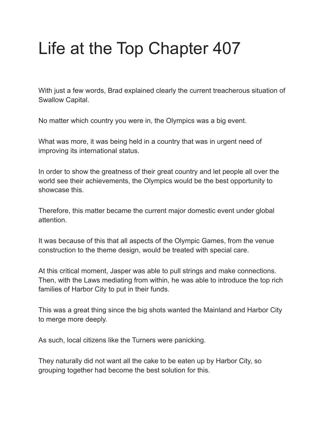# Life at the Top Chapter 407

With just a few words, Brad explained clearly the current treacherous situation of Swallow Capital.

No matter which country you were in, the Olympics was a big event.

What was more, it was being held in a country that was in urgent need of improving its international status.

In order to show the greatness of their great country and let people all over the world see their achievements, the Olympics would be the best opportunity to showcase this.

Therefore, this matter became the current major domestic event under global attention.

It was because of this that all aspects of the Olympic Games, from the venue construction to the theme design, would be treated with special care.

At this critical moment, Jasper was able to pull strings and make connections. Then, with the Laws mediating from within, he was able to introduce the top rich families of Harbor City to put in their funds.

This was a great thing since the big shots wanted the Mainland and Harbor City to merge more deeply.

As such, local citizens like the Turners were panicking.

They naturally did not want all the cake to be eaten up by Harbor City, so grouping together had become the best solution for this.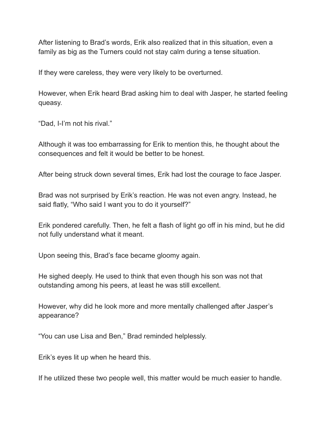After listening to Brad's words, Erik also realized that in this situation, even a family as big as the Turners could not stay calm during a tense situation.

If they were careless, they were very likely to be overturned.

However, when Erik heard Brad asking him to deal with Jasper, he started feeling queasy.

"Dad, I-I'm not his rival."

Although it was too embarrassing for Erik to mention this, he thought about the consequences and felt it would be better to be honest.

After being struck down several times, Erik had lost the courage to face Jasper.

Brad was not surprised by Erik's reaction. He was not even angry. Instead, he said flatly, "Who said I want you to do it yourself?"

Erik pondered carefully. Then, he felt a flash of light go off in his mind, but he did not fully understand what it meant.

Upon seeing this, Brad's face became gloomy again.

He sighed deeply. He used to think that even though his son was not that outstanding among his peers, at least he was still excellent.

However, why did he look more and more mentally challenged after Jasper's appearance?

"You can use Lisa and Ben," Brad reminded helplessly.

Erik's eyes lit up when he heard this.

If he utilized these two people well, this matter would be much easier to handle.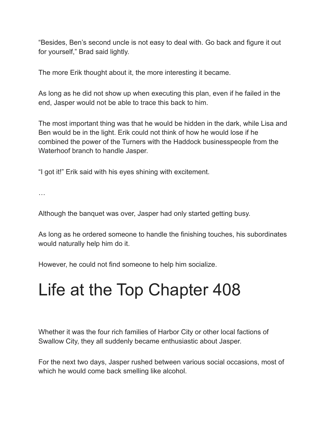"Besides, Ben's second uncle is not easy to deal with. Go back and figure it out for yourself," Brad said lightly.

The more Erik thought about it, the more interesting it became.

As long as he did not show up when executing this plan, even if he failed in the end, Jasper would not be able to trace this back to him.

The most important thing was that he would be hidden in the dark, while Lisa and Ben would be in the light. Erik could not think of how he would lose if he combined the power of the Turners with the Haddock businesspeople from the Waterhoof branch to handle Jasper.

"I got it!" Erik said with his eyes shining with excitement.

…

Although the banquet was over, Jasper had only started getting busy.

As long as he ordered someone to handle the finishing touches, his subordinates would naturally help him do it.

However, he could not find someone to help him socialize.

## Life at the Top Chapter 408

Whether it was the four rich families of Harbor City or other local factions of Swallow City, they all suddenly became enthusiastic about Jasper.

For the next two days, Jasper rushed between various social occasions, most of which he would come back smelling like alcohol.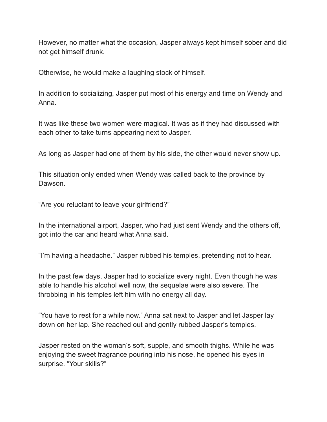However, no matter what the occasion, Jasper always kept himself sober and did not get himself drunk.

Otherwise, he would make a laughing stock of himself.

In addition to socializing, Jasper put most of his energy and time on Wendy and Anna.

It was like these two women were magical. It was as if they had discussed with each other to take turns appearing next to Jasper.

As long as Jasper had one of them by his side, the other would never show up.

This situation only ended when Wendy was called back to the province by Dawson.

"Are you reluctant to leave your girlfriend?"

In the international airport, Jasper, who had just sent Wendy and the others off, got into the car and heard what Anna said.

"I'm having a headache." Jasper rubbed his temples, pretending not to hear.

In the past few days, Jasper had to socialize every night. Even though he was able to handle his alcohol well now, the sequelae were also severe. The throbbing in his temples left him with no energy all day.

"You have to rest for a while now." Anna sat next to Jasper and let Jasper lay down on her lap. She reached out and gently rubbed Jasper's temples.

Jasper rested on the woman's soft, supple, and smooth thighs. While he was enjoying the sweet fragrance pouring into his nose, he opened his eyes in surprise. "Your skills?"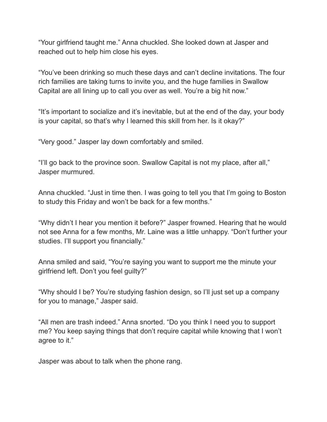"Your girlfriend taught me." Anna chuckled. She looked down at Jasper and reached out to help him close his eyes.

"You've been drinking so much these days and can't decline invitations. The four rich families are taking turns to invite you, and the huge families in Swallow Capital are all lining up to call you over as well. You're a big hit now."

"It's important to socialize and it's inevitable, but at the end of the day, your body is your capital, so that's why I learned this skill from her. Is it okay?"

"Very good." Jasper lay down comfortably and smiled.

"I'll go back to the province soon. Swallow Capital is not my place, after all," Jasper murmured.

Anna chuckled. "Just in time then. I was going to tell you that I'm going to Boston to study this Friday and won't be back for a few months."

"Why didn't I hear you mention it before?" Jasper frowned. Hearing that he would not see Anna for a few months, Mr. Laine was a little unhappy. "Don't further your studies. I'll support you financially."

Anna smiled and said, "You're saying you want to support me the minute your girlfriend left. Don't you feel guilty?"

"Why should I be? You're studying fashion design, so I'll just set up a company for you to manage," Jasper said.

"All men are trash indeed." Anna snorted. "Do you think I need you to support me? You keep saying things that don't require capital while knowing that I won't agree to it."

Jasper was about to talk when the phone rang.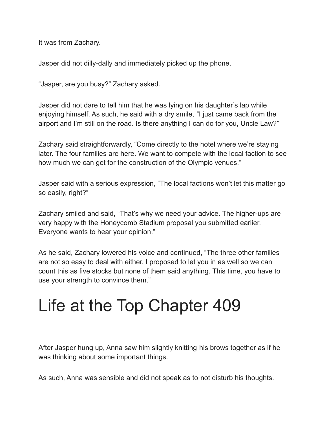It was from Zachary.

Jasper did not dilly-dally and immediately picked up the phone.

"Jasper, are you busy?" Zachary asked.

Jasper did not dare to tell him that he was lying on his daughter's lap while enjoying himself. As such, he said with a dry smile, "I just came back from the airport and I'm still on the road. Is there anything I can do for you, Uncle Law?"

Zachary said straightforwardly, "Come directly to the hotel where we're staying later. The four families are here. We want to compete with the local faction to see how much we can get for the construction of the Olympic venues."

Jasper said with a serious expression, "The local factions won't let this matter go so easily, right?"

Zachary smiled and said, "That's why we need your advice. The higher-ups are very happy with the Honeycomb Stadium proposal you submitted earlier. Everyone wants to hear your opinion."

As he said, Zachary lowered his voice and continued, "The three other families are not so easy to deal with either. I proposed to let you in as well so we can count this as five stocks but none of them said anything. This time, you have to use your strength to convince them."

#### Life at the Top Chapter 409

After Jasper hung up, Anna saw him slightly knitting his brows together as if he was thinking about some important things.

As such, Anna was sensible and did not speak as to not disturb his thoughts.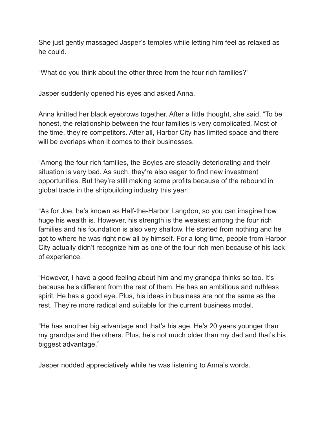She just gently massaged Jasper's temples while letting him feel as relaxed as he could.

"What do you think about the other three from the four rich families?"

Jasper suddenly opened his eyes and asked Anna.

Anna knitted her black eyebrows together. After a little thought, she said, "To be honest, the relationship between the four families is very complicated. Most of the time, they're competitors. After all, Harbor City has limited space and there will be overlaps when it comes to their businesses.

"Among the four rich families, the Boyles are steadily deteriorating and their situation is very bad. As such, they're also eager to find new investment opportunities. But they're still making some profits because of the rebound in global trade in the shipbuilding industry this year.

"As for Joe, he's known as Half-the-Harbor Langdon, so you can imagine how huge his wealth is. However, his strength is the weakest among the four rich families and his foundation is also very shallow. He started from nothing and he got to where he was right now all by himself. For a long time, people from Harbor City actually didn't recognize him as one of the four rich men because of his lack of experience.

"However, I have a good feeling about him and my grandpa thinks so too. It's because he's different from the rest of them. He has an ambitious and ruthless spirit. He has a good eye. Plus, his ideas in business are not the same as the rest. They're more radical and suitable for the current business model.

"He has another big advantage and that's his age. He's 20 years younger than my grandpa and the others. Plus, he's not much older than my dad and that's his biggest advantage."

Jasper nodded appreciatively while he was listening to Anna's words.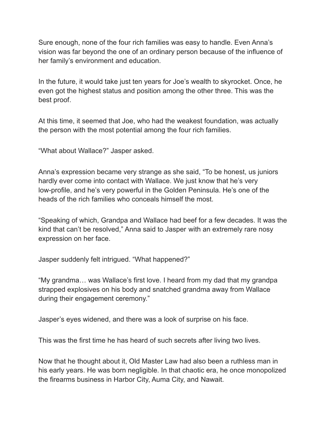Sure enough, none of the four rich families was easy to handle. Even Anna's vision was far beyond the one of an ordinary person because of the influence of her family's environment and education.

In the future, it would take just ten years for Joe's wealth to skyrocket. Once, he even got the highest status and position among the other three. This was the best proof.

At this time, it seemed that Joe, who had the weakest foundation, was actually the person with the most potential among the four rich families.

"What about Wallace?" Jasper asked.

Anna's expression became very strange as she said, "To be honest, us juniors hardly ever come into contact with Wallace. We just know that he's very low-profile, and he's very powerful in the Golden Peninsula. He's one of the heads of the rich families who conceals himself the most.

"Speaking of which, Grandpa and Wallace had beef for a few decades. It was the kind that can't be resolved," Anna said to Jasper with an extremely rare nosy expression on her face.

Jasper suddenly felt intrigued. "What happened?"

"My grandma… was Wallace's first love. I heard from my dad that my grandpa strapped explosives on his body and snatched grandma away from Wallace during their engagement ceremony."

Jasper's eyes widened, and there was a look of surprise on his face.

This was the first time he has heard of such secrets after living two lives.

Now that he thought about it, Old Master Law had also been a ruthless man in his early years. He was born negligible. In that chaotic era, he once monopolized the firearms business in Harbor City, Auma City, and Nawait.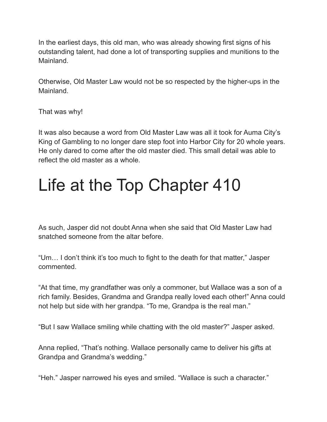In the earliest days, this old man, who was already showing first signs of his outstanding talent, had done a lot of transporting supplies and munitions to the Mainland.

Otherwise, Old Master Law would not be so respected by the higher-ups in the Mainland.

That was why!

It was also because a word from Old Master Law was all it took for Auma City's King of Gambling to no longer dare step foot into Harbor City for 20 whole years. He only dared to come after the old master died. This small detail was able to reflect the old master as a whole.

## Life at the Top Chapter 410

As such, Jasper did not doubt Anna when she said that Old Master Law had snatched someone from the altar before.

"Um… I don't think it's too much to fight to the death for that matter," Jasper commented.

"At that time, my grandfather was only a commoner, but Wallace was a son of a rich family. Besides, Grandma and Grandpa really loved each other!" Anna could not help but side with her grandpa. "To me, Grandpa is the real man."

"But I saw Wallace smiling while chatting with the old master?" Jasper asked.

Anna replied, "That's nothing. Wallace personally came to deliver his gifts at Grandpa and Grandma's wedding."

"Heh." Jasper narrowed his eyes and smiled. "Wallace is such a character."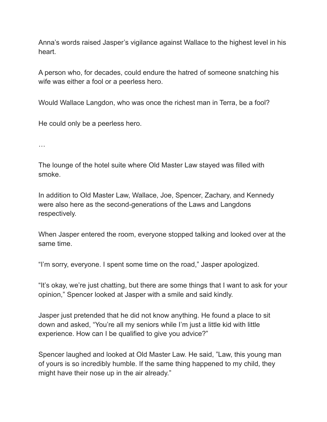Anna's words raised Jasper's vigilance against Wallace to the highest level in his heart.

A person who, for decades, could endure the hatred of someone snatching his wife was either a fool or a peerless hero.

Would Wallace Langdon, who was once the richest man in Terra, be a fool?

He could only be a peerless hero.

…

The lounge of the hotel suite where Old Master Law stayed was filled with smoke.

In addition to Old Master Law, Wallace, Joe, Spencer, Zachary, and Kennedy were also here as the second-generations of the Laws and Langdons respectively.

When Jasper entered the room, everyone stopped talking and looked over at the same time.

"I'm sorry, everyone. I spent some time on the road," Jasper apologized.

"It's okay, we're just chatting, but there are some things that I want to ask for your opinion," Spencer looked at Jasper with a smile and said kindly.

Jasper just pretended that he did not know anything. He found a place to sit down and asked, "You're all my seniors while I'm just a little kid with little experience. How can I be qualified to give you advice?"

Spencer laughed and looked at Old Master Law. He said, "Law, this young man of yours is so incredibly humble. If the same thing happened to my child, they might have their nose up in the air already."